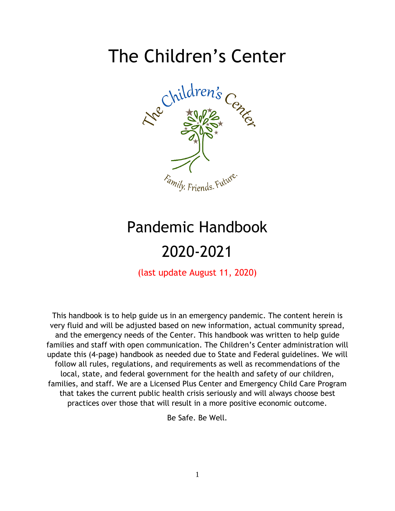# The Children's Center



# Pandemic Handbook 2020-2021

(last update August 11, 2020)

This handbook is to help guide us in an emergency pandemic. The content herein is very fluid and will be adjusted based on new information, actual community spread, and the emergency needs of the Center. This handbook was written to help guide families and staff with open communication. The Children's Center administration will update this (4-page) handbook as needed due to State and Federal guidelines. We will follow all rules, regulations, and requirements as well as recommendations of the local, state, and federal government for the health and safety of our children, families, and staff. We are a Licensed Plus Center and Emergency Child Care Program that takes the current public health crisis seriously and will always choose best practices over those that will result in a more positive economic outcome.

Be Safe. Be Well.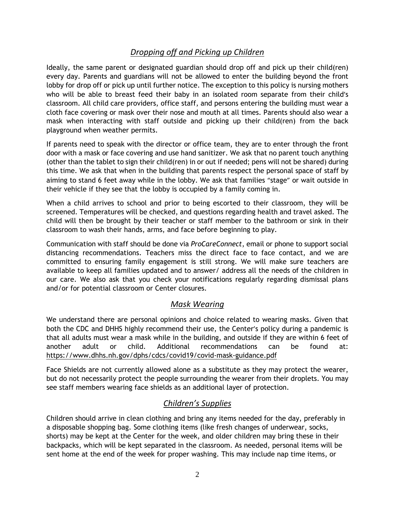# *Dropping off and Picking up Children*

Ideally, the same parent or designated guardian should drop off and pick up their child(ren) every day. Parents and guardians will not be allowed to enter the building beyond the front lobby for drop off or pick up until further notice. The exception to this policy is nursing mothers who will be able to breast feed their baby in an isolated room separate from their child's classroom. All child care providers, office staff, and persons entering the building must wear a cloth face covering or mask over their nose and mouth at all times. Parents should also wear a mask when interacting with staff outside and picking up their child(ren) from the back playground when weather permits.

If parents need to speak with the director or office team, they are to enter through the front door with a mask or face covering and use hand sanitizer. We ask that no parent touch anything (other than the tablet to sign their child(ren) in or out if needed; pens will not be shared) during this time. We ask that when in the building that parents respect the personal space of staff by aiming to stand 6 feet away while in the lobby. We ask that families "stage" or wait outside in their vehicle if they see that the lobby is occupied by a family coming in.

When a child arrives to school and prior to being escorted to their classroom, they will be screened. Temperatures will be checked, and questions regarding health and travel asked. The child will then be brought by their teacher or staff member to the bathroom or sink in their classroom to wash their hands, arms, and face before beginning to play.

Communication with staff should be done via *ProCareConnect*, email or phone to support social distancing recommendations. Teachers miss the direct face to face contact, and we are committed to ensuring family engagement is still strong. We will make sure teachers are available to keep all families updated and to answer/ address all the needs of the children in our care. We also ask that you check your notifications regularly regarding dismissal plans and/or for potential classroom or Center closures.

## *Mask Wearing*

We understand there are personal opinions and choice related to wearing masks. Given that both the CDC and DHHS highly recommend their use, the Center's policy during a pandemic is that all adults must wear a mask while in the building, and outside if they are within 6 feet of another adult or child. Additional recommendations can be found at: <https://www.dhhs.nh.gov/dphs/cdcs/covid19/covid-mask-guidance.pdf>

Face Shields are not currently allowed alone as a substitute as they may protect the wearer, but do not necessarily protect the people surrounding the wearer from their droplets. You may see staff members wearing face shields as an additional layer of protection.

# *Children's Supplies*

Children should arrive in clean clothing and bring any items needed for the day, preferably in a disposable shopping bag. Some clothing items (like fresh changes of underwear, socks, shorts) may be kept at the Center for the week, and older children may bring these in their backpacks, which will be kept separated in the classroom. As needed, personal items will be sent home at the end of the week for proper washing. This may include nap time items, or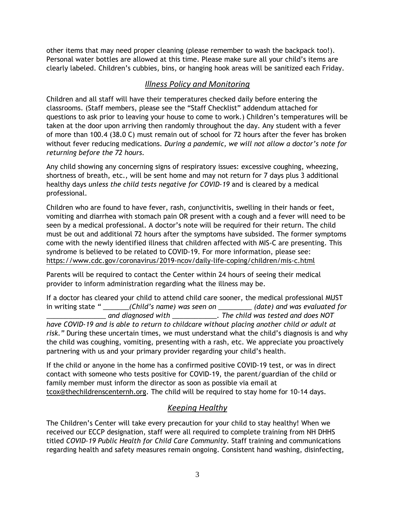other items that may need proper cleaning (please remember to wash the backpack too!). Personal water bottles are allowed at this time. Please make sure all your child's items are clearly labeled. Children's cubbies, bins, or hanging hook areas will be sanitized each Friday.

## *Illness Policy and Monitoring*

Children and all staff will have their temperatures checked daily before entering the classrooms. (Staff members, please see the "Staff Checklist" addendum attached for questions to ask prior to leaving your house to come to work.) Children's temperatures will be taken at the door upon arriving then randomly throughout the day. Any student with a fever of more than 100.4 (38.0 C) must remain out of school for 72 hours after the fever has broken without fever reducing medications. *During a pandemic, we will not allow a doctor's note for returning before the 72 hours.*

Any child showing any concerning signs of respiratory issues: excessive coughing, wheezing, shortness of breath, etc., will be sent home and may not return for 7 days plus 3 additional healthy days *unless the child tests negative for COVID-19* and is cleared by a medical professional.

Children who are found to have fever, rash, conjunctivitis, swelling in their hands or feet, vomiting and diarrhea with stomach pain OR present with a cough and a fever will need to be seen by a medical professional. A doctor's note will be required for their return. The child must be out and additional 72 hours after the symptoms have subsided. The former symptoms come with the newly identified illness that children affected with MIS-C are presenting. This syndrome is believed to be related to COVID-19. For more information, please see: <https://www.cdc.gov/coronavirus/2019-ncov/daily-life-coping/children/mis-c.html>

Parents will be required to contact the Center within 24 hours of seeing their medical provider to inform administration regarding what the illness may be.

If a doctor has cleared your child to attend child care sooner, the medical professional MUST in writing state *" \_\_\_\_\_\_\_(Child's name) was seen on \_\_\_\_\_\_\_\_\_ (date) and was evaluated for \_\_\_\_\_\_\_\_\_\_\_\_\_\_\_\_ and diagnosed with \_\_\_\_\_\_\_\_\_\_\_\_. The child was tested and does NOT have COVID-19 and is able to return to childcare without placing another child or adult at risk."* During these uncertain times, we must understand what the child's diagnosis is and why the child was coughing, vomiting, presenting with a rash, etc. We appreciate you proactively partnering with us and your primary provider regarding your child's health.

If the child or anyone in the home has a confirmed positive COVID-19 test, or was in direct contact with someone who tests positive for COVID-19, the parent/guardian of the child or family member must inform the director as soon as possible via email at [tcox@thechildrenscenternh.org.](mailto:tcox@thechildrenscenternh.org) The child will be required to stay home for 10-14 days.

# *Keeping Healthy*

The Children's Center will take every precaution for your child to stay healthy! When we received our ECCP designation, staff were all required to complete training from NH DHHS titled *COVID-19 Public Health for Child Care Community.* Staff training and communications regarding health and safety measures remain ongoing. Consistent hand washing, disinfecting,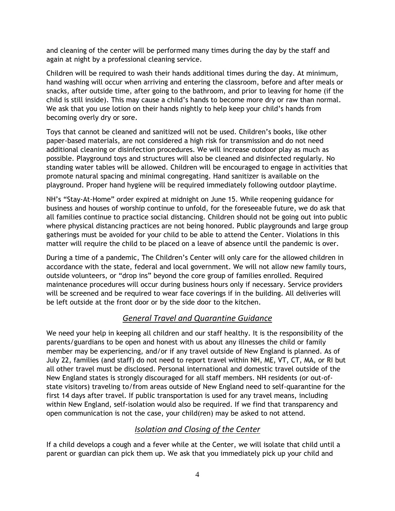and cleaning of the center will be performed many times during the day by the staff and again at night by a professional cleaning service.

Children will be required to wash their hands additional times during the day. At minimum, hand washing will occur when arriving and entering the classroom, before and after meals or snacks, after outside time, after going to the bathroom, and prior to leaving for home (if the child is still inside). This may cause a child's hands to become more dry or raw than normal. We ask that you use lotion on their hands nightly to help keep your child's hands from becoming overly dry or sore.

Toys that cannot be cleaned and sanitized will not be used. Children's books, like other paper-based materials, are not considered a high risk for transmission and do not need additional cleaning or disinfection procedures. We will increase outdoor play as much as possible. Playground toys and structures will also be cleaned and disinfected regularly. No standing water tables will be allowed. Children will be encouraged to engage in activities that promote natural spacing and minimal congregating. Hand sanitizer is available on the playground. Proper hand hygiene will be required immediately following outdoor playtime.

NH's "Stay-At-Home" order expired at midnight on June 15. While reopening guidance for business and houses of worship continue to unfold, for the foreseeable future, we do ask that all families continue to practice social distancing. Children should not be going out into public where physical distancing practices are not being honored. Public playgrounds and large group gatherings must be avoided for your child to be able to attend the Center. Violations in this matter will require the child to be placed on a leave of absence until the pandemic is over.

During a time of a pandemic, The Children's Center will only care for the allowed children in accordance with the state, federal and local government. We will not allow new family tours, outside volunteers, or "drop ins" beyond the core group of families enrolled. Required maintenance procedures will occur during business hours only if necessary. Service providers will be screened and be required to wear face coverings if in the building. All deliveries will be left outside at the front door or by the side door to the kitchen.

# *General Travel and Quarantine Guidance*

We need your help in keeping all children and our staff healthy. It is the responsibility of the parents/guardians to be open and honest with us about any illnesses the child or family member may be experiencing, and/or if any travel outside of New England is planned. As of July 22, families (and staff) do not need to report travel within NH, ME, VT, CT, MA, or RI but all other travel must be disclosed. Personal international and domestic travel outside of the New England states is strongly discouraged for all staff members. NH residents (or out-ofstate visitors) traveling to/from areas outside of New England need to self-quarantine for the first 14 days after travel. If public transportation is used for any travel means, including within New England, self-isolation would also be required. If we find that transparency and open communication is not the case, your child(ren) may be asked to not attend.

## *Isolation and Closing of the Center*

If a child develops a cough and a fever while at the Center, we will isolate that child until a parent or guardian can pick them up. We ask that you immediately pick up your child and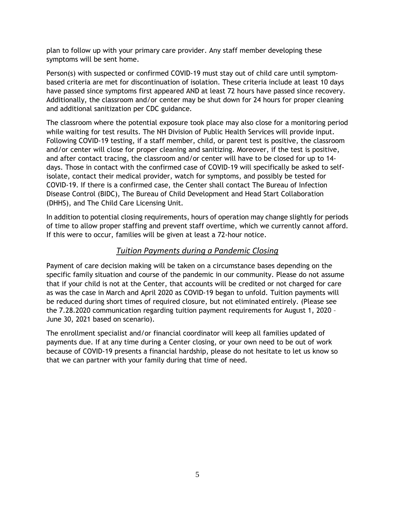plan to follow up with your primary care provider. Any staff member developing these symptoms will be sent home.

Person(s) with suspected or confirmed COVID-19 must stay out of child care until symptombased criteria are met for discontinuation of isolation. These criteria include at least 10 days have passed since symptoms first appeared AND at least 72 hours have passed since recovery. Additionally, the classroom and/or center may be shut down for 24 hours for proper cleaning and additional sanitization per CDC guidance.

The classroom where the potential exposure took place may also close for a monitoring period while waiting for test results. The NH Division of Public Health Services will provide input. Following COVID-19 testing, if a staff member, child, or parent test is positive, the classroom and/or center will close for proper cleaning and sanitizing. Moreover, if the test is positive, and after contact tracing, the classroom and/or center will have to be closed for up to 14 days. Those in contact with the confirmed case of COVID-19 will specifically be asked to selfisolate, contact their medical provider, watch for symptoms, and possibly be tested for COVID-19. If there is a confirmed case, the Center shall contact The Bureau of Infection Disease Control (BIDC), The Bureau of Child Development and Head Start Collaboration (DHHS), and The Child Care Licensing Unit.

In addition to potential closing requirements, hours of operation may change slightly for periods of time to allow proper staffing and prevent staff overtime, which we currently cannot afford. If this were to occur, families will be given at least a 72-hour notice.

#### *Tuition Payments during a Pandemic Closing*

Payment of care decision making will be taken on a circumstance bases depending on the specific family situation and course of the pandemic in our community. Please do not assume that if your child is not at the Center, that accounts will be credited or not charged for care as was the case in March and April 2020 as COVID-19 began to unfold. Tuition payments will be reduced during short times of required closure, but not eliminated entirely. (Please see the 7.28.2020 communication regarding tuition payment requirements for August 1, 2020 – June 30, 2021 based on scenario).

The enrollment specialist and/or financial coordinator will keep all families updated of payments due. If at any time during a Center closing, or your own need to be out of work because of COVID-19 presents a financial hardship, please do not hesitate to let us know so that we can partner with your family during that time of need.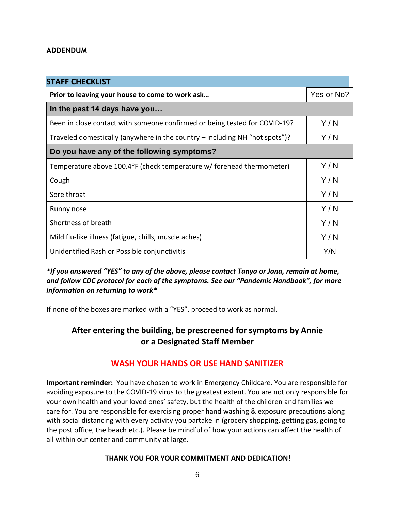#### **ADDENDUM**

| <b>STAFF CHECKLIST</b>                                                      |            |
|-----------------------------------------------------------------------------|------------|
| Prior to leaving your house to come to work ask                             | Yes or No? |
| In the past 14 days have you                                                |            |
| Been in close contact with someone confirmed or being tested for COVID-19?  | Y/N        |
| Traveled domestically (anywhere in the country – including NH "hot spots")? | Y/N        |
| Do you have any of the following symptoms?                                  |            |
| Temperature above 100.4°F (check temperature w/ forehead thermometer)       | Y/N        |
| Cough                                                                       | Y/N        |
| Sore throat                                                                 | Y/N        |
| Runny nose                                                                  | Y/N        |
| Shortness of breath                                                         | Y/N        |
| Mild flu-like illness (fatigue, chills, muscle aches)                       | Y/N        |
| Unidentified Rash or Possible conjunctivitis                                | Y/N        |

*\*If you answered "YES" to any of the above, please contact Tanya or Jana, remain at home, and follow CDC protocol for each of the symptoms. See our "Pandemic Handbook", for more information on returning to work\**

If none of the boxes are marked with a "YES", proceed to work as normal.

# **After entering the building, be prescreened for symptoms by Annie or a Designated Staff Member**

## **WASH YOUR HANDS OR USE HAND SANITIZER**

**Important reminder:** You have chosen to work in Emergency Childcare. You are responsible for avoiding exposure to the COVID-19 virus to the greatest extent. You are not only responsible for your own health and your loved ones' safety, but the health of the children and families we care for. You are responsible for exercising proper hand washing & exposure precautions along with social distancing with every activity you partake in (grocery shopping, getting gas, going to the post office, the beach etc.). Please be mindful of how your actions can affect the health of all within our center and community at large.

#### **THANK YOU FOR YOUR COMMITMENT AND DEDICATION!**